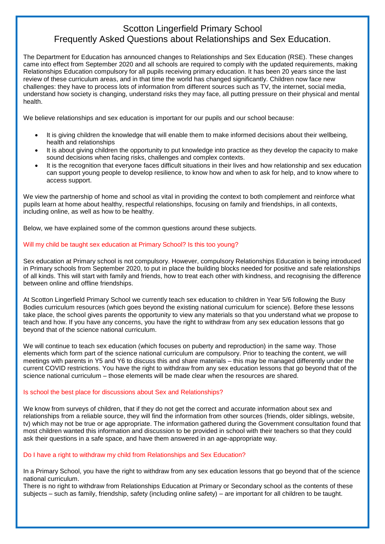# Scotton Lingerfield Primary School Frequently Asked Questions about Relationships and Sex Education.

The Department for Education has announced changes to Relationships and Sex Education (RSE). These changes came into effect from September 2020 and all schools are required to comply with the updated requirements, making Relationships Education compulsory for all pupils receiving primary education. It has been 20 years since the last review of these curriculum areas, and in that time the world has changed significantly. Children now face new challenges: they have to process lots of information from different sources such as TV, the internet, social media, understand how society is changing, understand risks they may face, all putting pressure on their physical and mental health.

We believe relationships and sex education is important for our pupils and our school because:

- It is giving children the knowledge that will enable them to make informed decisions about their wellbeing, health and relationships
- It is about giving children the opportunity to put knowledge into practice as they develop the capacity to make sound decisions when facing risks, challenges and complex contexts.
- It is the recognition that everyone faces difficult situations in their lives and how relationship and sex education can support young people to develop resilience, to know how and when to ask for help, and to know where to access support.

We view the partnership of home and school as vital in providing the context to both complement and reinforce what pupils learn at home about healthy, respectful relationships, focusing on family and friendships, in all contexts, including online, as well as how to be healthy.

Below, we have explained some of the common questions around these subjects.

# Will my child be taught sex education at Primary School? Is this too young?

Sex education at Primary school is not compulsory. However, compulsory Relationships Education is being introduced in Primary schools from September 2020, to put in place the building blocks needed for positive and safe relationships of all kinds. This will start with family and friends, how to treat each other with kindness, and recognising the difference between online and offline friendships.

At Scotton Lingerfield Primary School we currently teach sex education to children in Year 5/6 following the Busy Bodies curriculum resources (which goes beyond the existing national curriculum for science). Before these lessons take place, the school gives parents the opportunity to view any materials so that you understand what we propose to teach and how. If you have any concerns, you have the right to withdraw from any sex education lessons that go beyond that of the science national curriculum.

We will continue to teach sex education (which focuses on puberty and reproduction) in the same way. Those elements which form part of the science national curriculum are compulsory. Prior to teaching the content, we will meetings with parents in Y5 and Y6 to discuss this and share materials – this may be managed differently under the current COVID restrictions. You have the right to withdraw from any sex education lessons that go beyond that of the science national curriculum – those elements will be made clear when the resources are shared.

## Is school the best place for discussions about Sex and Relationships?

We know from surveys of children, that if they do not get the correct and accurate information about sex and relationships from a reliable source, they will find the information from other sources (friends, older siblings, website, tv) which may not be true or age appropriate. The information gathered during the Government consultation found that most children wanted this information and discussion to be provided in school with their teachers so that they could ask their questions in a safe space, and have them answered in an age-appropriate way.

# Do I have a right to withdraw my child from Relationships and Sex Education?

In a Primary School, you have the right to withdraw from any sex education lessons that go beyond that of the science national curriculum.

There is no right to withdraw from Relationships Education at Primary or Secondary school as the contents of these subjects – such as family, friendship, safety (including online safety) – are important for all children to be taught.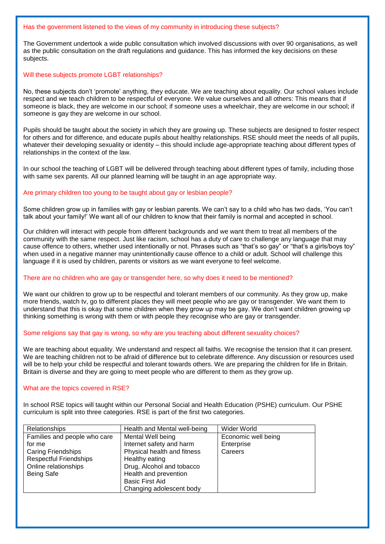#### Has the government listened to the views of my community in introducing these subjects?

The Government undertook a wide public consultation which involved discussions with over 90 organisations, as well as the public consultation on the draft regulations and guidance. This has informed the key decisions on these subjects.

## Will these subjects promote LGBT relationships?

No, these subjects don't 'promote' anything, they educate. We are teaching about equality. Our school values include respect and we teach children to be respectful of everyone. We value ourselves and all others: This means that if someone is black, they are welcome in our school; if someone uses a wheelchair, they are welcome in our school; if someone is gay they are welcome in our school.

Pupils should be taught about the society in which they are growing up. These subjects are designed to foster respect for others and for difference, and educate pupils about healthy relationships. RSE should meet the needs of all pupils, whatever their developing sexuality or identity – this should include age-appropriate teaching about different types of relationships in the context of the law.

In our school the teaching of LGBT will be delivered through teaching about different types of family, including those with same sex parents. All our planned learning will be taught in an age appropriate way.

## Are primary children too young to be taught about gay or lesbian people?

Some children grow up in families with gay or lesbian parents. We can't say to a child who has two dads, 'You can't talk about your family!' We want all of our children to know that their family is normal and accepted in school.

Our children will interact with people from different backgrounds and we want them to treat all members of the community with the same respect. Just like racism, school has a duty of care to challenge any language that may cause offence to others, whether used intentionally or not. Phrases such as "that's so gay" or "that's a girls/boys toy" when used in a negative manner may unintentionally cause offence to a child or adult. School will challenge this language if it is used by children, parents or visitors as we want everyone to feel welcome.

## There are no children who are gay or transgender here, so why does it need to be mentioned?

We want our children to grow up to be respectful and tolerant members of our community. As they grow up, make more friends, watch tv, go to different places they will meet people who are gay or transgender. We want them to understand that this is okay that some children when they grow up may be gay. We don't want children growing up thinking something is wrong with them or with people they recognise who are gay or transgender.

#### Some religions say that gay is wrong, so why are you teaching about different sexuality choices?

We are teaching about equality. We understand and respect all faiths. We recognise the tension that it can present. We are teaching children not to be afraid of difference but to celebrate difference. Any discussion or resources used will be to help your child be respectful and tolerant towards others. We are preparing the children for life in Britain. Britain is diverse and they are going to meet people who are different to them as they grow up.

#### What are the topics covered in RSE?

In school RSE topics will taught within our Personal Social and Health Education (PSHE) curriculum. Our PSHE curriculum is split into three categories. RSE is part of the first two categories.

| <b>Relationships</b>          | Health and Mental well-being | Wider World         |
|-------------------------------|------------------------------|---------------------|
| Families and people who care  | Mental Well being            | Economic well being |
| for me                        | Internet safety and harm     | Enterprise          |
| <b>Caring Friendships</b>     | Physical health and fitness  | Careers             |
| <b>Respectful Friendships</b> | Healthy eating               |                     |
| Online relationships          | Drug, Alcohol and tobacco    |                     |
| <b>Being Safe</b>             | Health and prevention        |                     |
|                               | <b>Basic First Aid</b>       |                     |
|                               | Changing adolescent body     |                     |